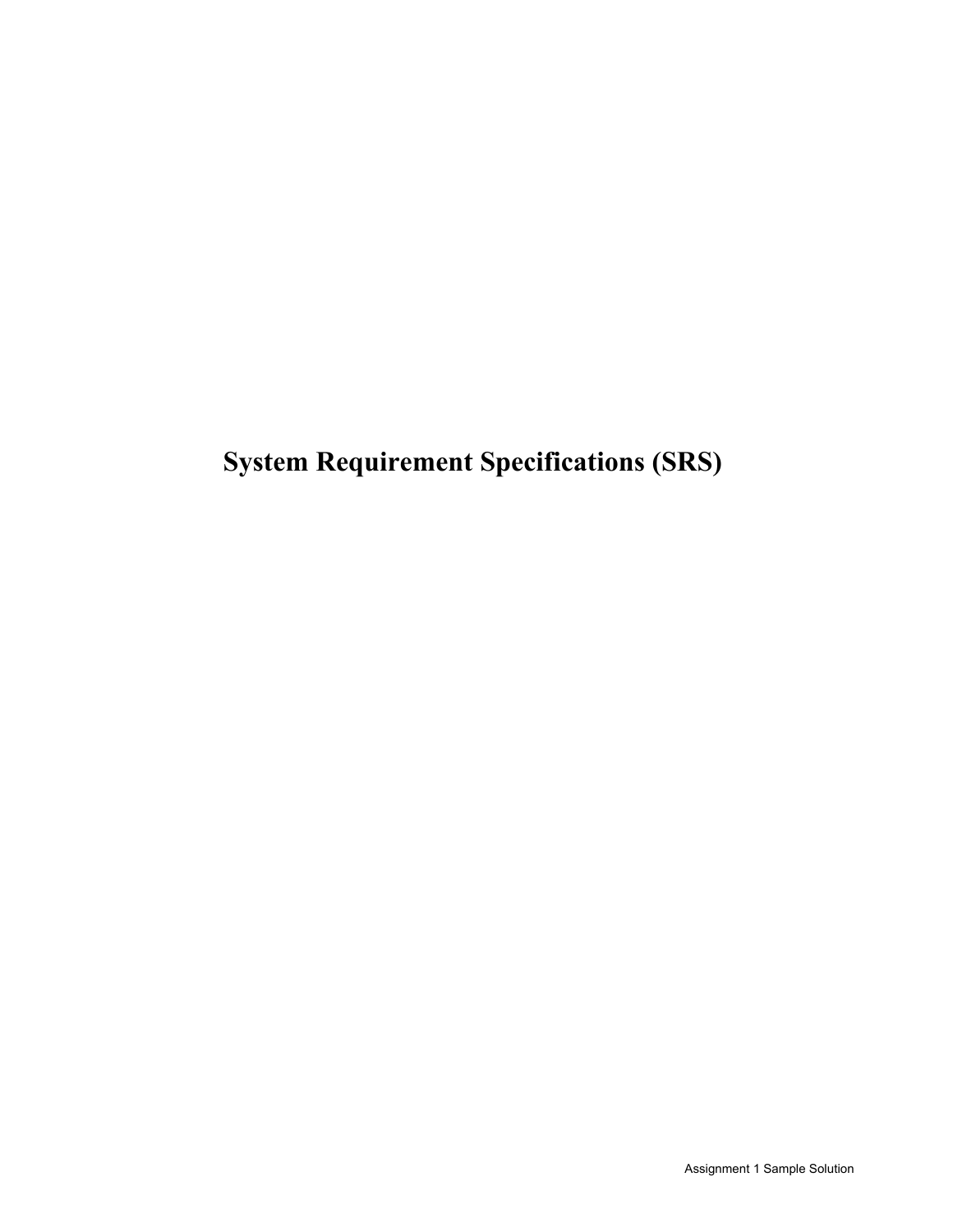**System Requirement Specifications (SRS)**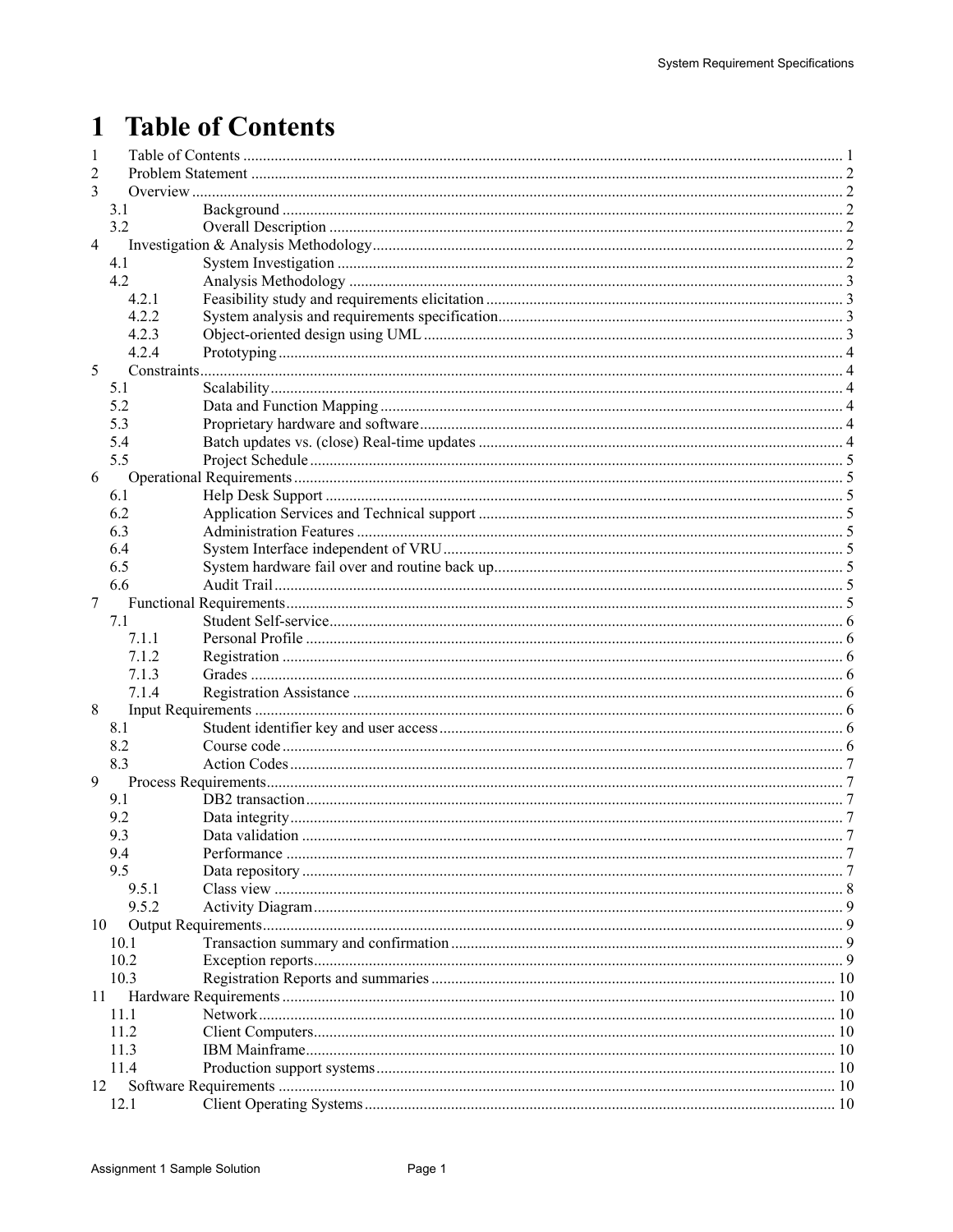# 1 Table of Contents

| 1              |       |  |  |  |  |
|----------------|-------|--|--|--|--|
| 2              |       |  |  |  |  |
| 3              |       |  |  |  |  |
|                | 3.1   |  |  |  |  |
|                | 3.2   |  |  |  |  |
| $\overline{4}$ |       |  |  |  |  |
|                | 4.1   |  |  |  |  |
|                | 4.2   |  |  |  |  |
|                | 4.2.1 |  |  |  |  |
|                | 4.2.2 |  |  |  |  |
|                | 4.2.3 |  |  |  |  |
|                | 4.2.4 |  |  |  |  |
| 5              |       |  |  |  |  |
|                | 5.1   |  |  |  |  |
|                | 5.2   |  |  |  |  |
|                |       |  |  |  |  |
|                | 5.3   |  |  |  |  |
|                | 5.4   |  |  |  |  |
|                | 5.5   |  |  |  |  |
| 6              |       |  |  |  |  |
|                | 6.1   |  |  |  |  |
|                | 6.2   |  |  |  |  |
|                | 6.3   |  |  |  |  |
|                | 6.4   |  |  |  |  |
|                | 6.5   |  |  |  |  |
|                | 6.6   |  |  |  |  |
| 7              |       |  |  |  |  |
|                | 7.1   |  |  |  |  |
|                | 7.1.1 |  |  |  |  |
|                | 7.1.2 |  |  |  |  |
|                | 7.1.3 |  |  |  |  |
|                | 7.1.4 |  |  |  |  |
| 8              |       |  |  |  |  |
|                | 8.1   |  |  |  |  |
|                | 8.2   |  |  |  |  |
|                | 8.3   |  |  |  |  |
| 9              |       |  |  |  |  |
|                | 9.1   |  |  |  |  |
|                | 9.2   |  |  |  |  |
|                | 9.3   |  |  |  |  |
|                | 9.4   |  |  |  |  |
|                | 9.5   |  |  |  |  |
|                | 9.5.1 |  |  |  |  |
|                | 9.5.2 |  |  |  |  |
|                |       |  |  |  |  |
| 10             |       |  |  |  |  |
|                | 10.1  |  |  |  |  |
|                | 10.2  |  |  |  |  |
|                | 10.3  |  |  |  |  |
|                | 11    |  |  |  |  |
|                | 11.1  |  |  |  |  |
|                | 11.2  |  |  |  |  |
|                | 11.3  |  |  |  |  |
|                | 11.4  |  |  |  |  |
| 12             |       |  |  |  |  |
|                | 12.1  |  |  |  |  |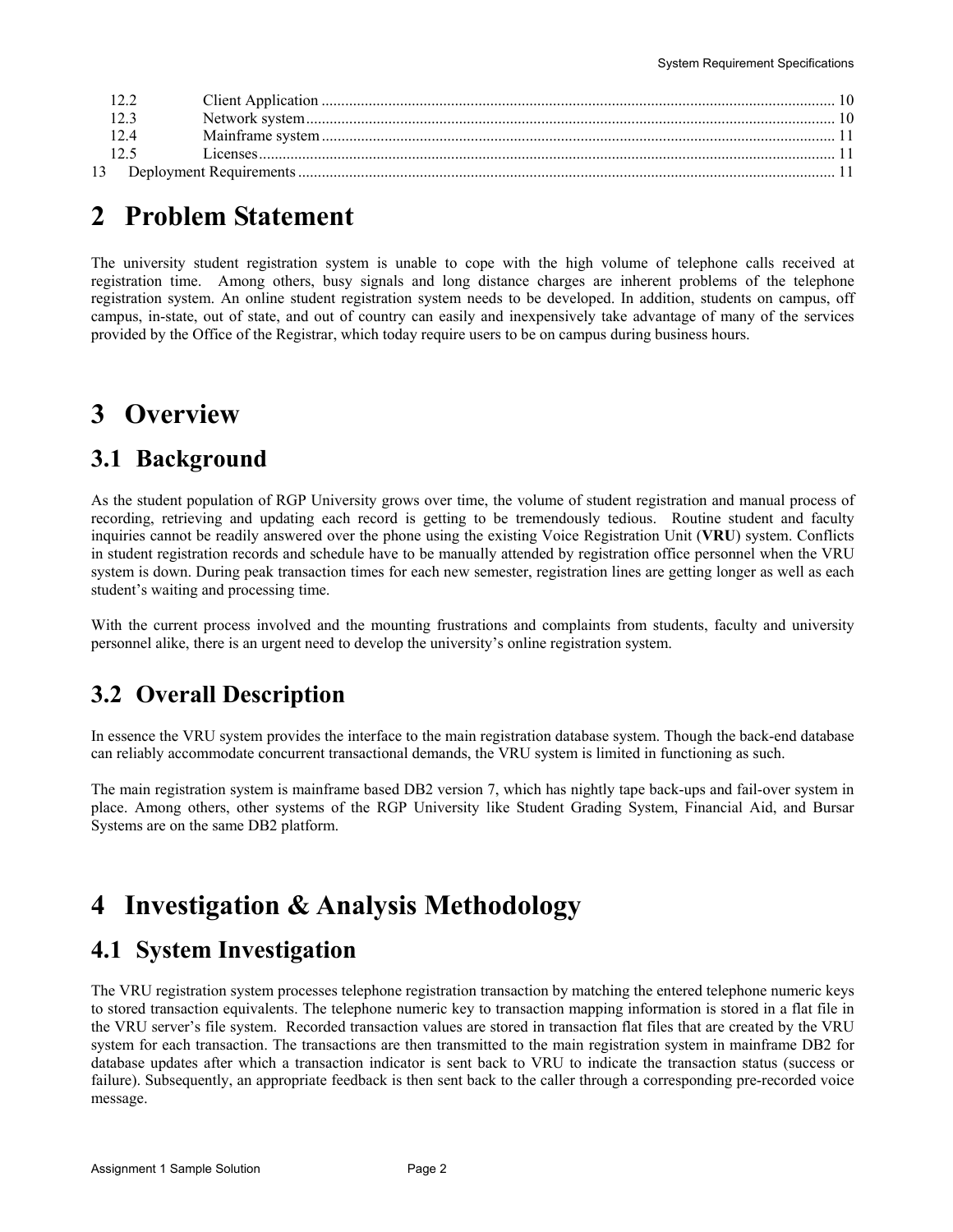## **2 Problem Statement**

The university student registration system is unable to cope with the high volume of telephone calls received at registration time. Among others, busy signals and long distance charges are inherent problems of the telephone registration system. An online student registration system needs to be developed. In addition, students on campus, off campus, in-state, out of state, and out of country can easily and inexpensively take advantage of many of the services provided by the Office of the Registrar, which today require users to be on campus during business hours.

# **3 Overview**

### **3.1 Background**

As the student population of RGP University grows over time, the volume of student registration and manual process of recording, retrieving and updating each record is getting to be tremendously tedious. Routine student and faculty inquiries cannot be readily answered over the phone using the existing Voice Registration Unit (**VRU**) system. Conflicts in student registration records and schedule have to be manually attended by registration office personnel when the VRU system is down. During peak transaction times for each new semester, registration lines are getting longer as well as each student's waiting and processing time.

With the current process involved and the mounting frustrations and complaints from students, faculty and university personnel alike, there is an urgent need to develop the university's online registration system.

### **3.2 Overall Description**

In essence the VRU system provides the interface to the main registration database system. Though the back-end database can reliably accommodate concurrent transactional demands, the VRU system is limited in functioning as such.

The main registration system is mainframe based DB2 version 7, which has nightly tape back-ups and fail-over system in place. Among others, other systems of the RGP University like Student Grading System, Financial Aid, and Bursar Systems are on the same DB2 platform.

# **4 Investigation & Analysis Methodology**

### **4.1 System Investigation**

The VRU registration system processes telephone registration transaction by matching the entered telephone numeric keys to stored transaction equivalents. The telephone numeric key to transaction mapping information is stored in a flat file in the VRU server's file system. Recorded transaction values are stored in transaction flat files that are created by the VRU system for each transaction. The transactions are then transmitted to the main registration system in mainframe DB2 for database updates after which a transaction indicator is sent back to VRU to indicate the transaction status (success or failure). Subsequently, an appropriate feedback is then sent back to the caller through a corresponding pre-recorded voice message.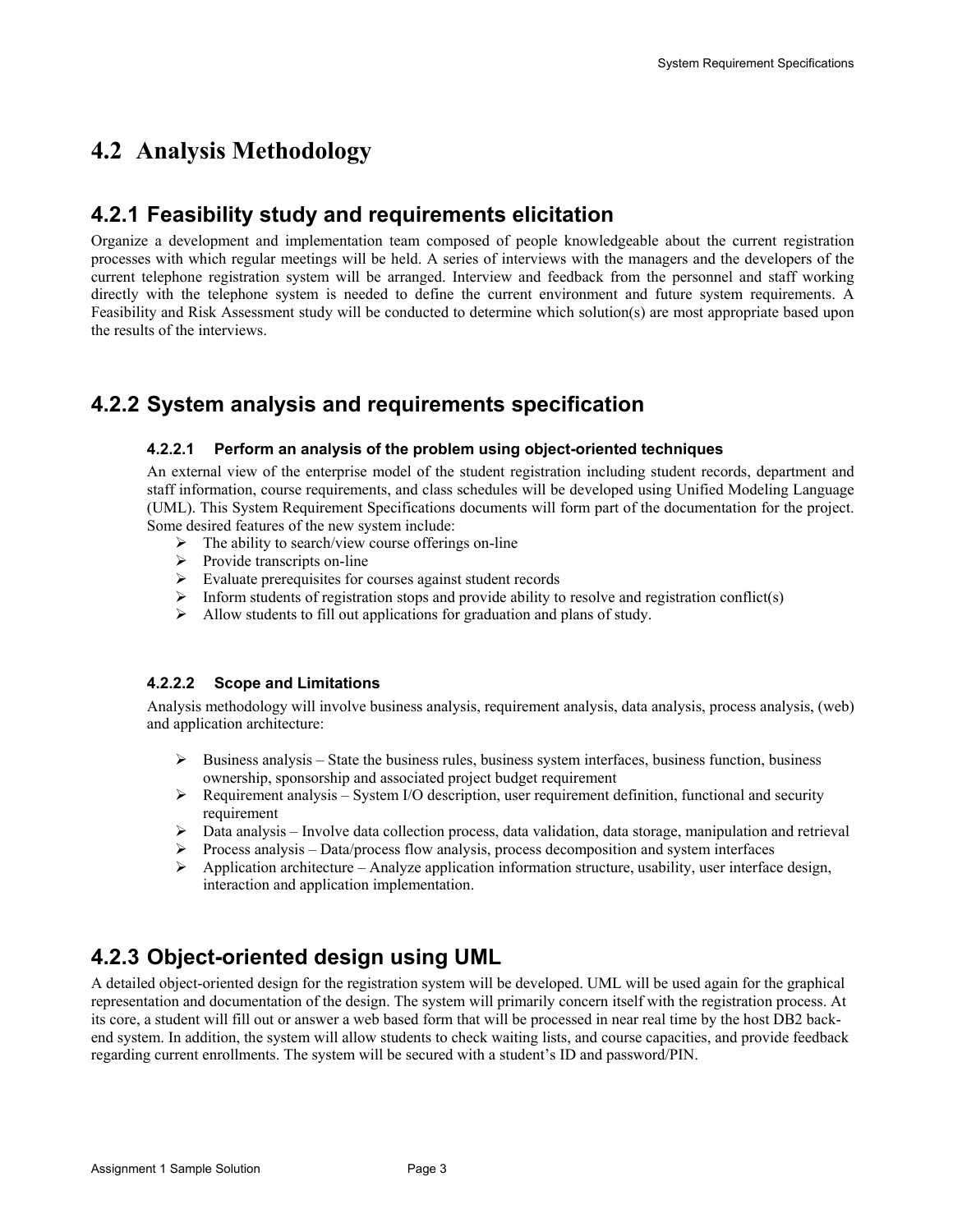### **4.2 Analysis Methodology**

#### **4.2.1 Feasibility study and requirements elicitation**

Organize a development and implementation team composed of people knowledgeable about the current registration processes with which regular meetings will be held. A series of interviews with the managers and the developers of the current telephone registration system will be arranged. Interview and feedback from the personnel and staff working directly with the telephone system is needed to define the current environment and future system requirements. A Feasibility and Risk Assessment study will be conducted to determine which solution(s) are most appropriate based upon the results of the interviews.

#### **4.2.2 System analysis and requirements specification**

#### **4.2.2.1 Perform an analysis of the problem using object-oriented techniques**

An external view of the enterprise model of the student registration including student records, department and staff information, course requirements, and class schedules will be developed using Unified Modeling Language (UML). This System Requirement Specifications documents will form part of the documentation for the project. Some desired features of the new system include:

- $\triangleright$  The ability to search/view course offerings on-line
- $\triangleright$  Provide transcripts on-line
- $\triangleright$  Evaluate prerequisites for courses against student records
- $\triangleright$  Inform students of registration stops and provide ability to resolve and registration conflict(s)
- $\blacktriangleright$  Allow students to fill out applications for graduation and plans of study.

#### **4.2.2.2 Scope and Limitations**

Analysis methodology will involve business analysis, requirement analysis, data analysis, process analysis, (web) and application architecture:

- $\triangleright$  Business analysis State the business rules, business system interfaces, business function, business ownership, sponsorship and associated project budget requirement
- $\triangleright$  Requirement analysis System I/O description, user requirement definition, functional and security requirement
- $\triangleright$  Data analysis Involve data collection process, data validation, data storage, manipulation and retrieval
- $\triangleright$  Process analysis Data/process flow analysis, process decomposition and system interfaces
- $\triangleright$  Application architecture Analyze application information structure, usability, user interface design, interaction and application implementation.

### **4.2.3 Object-oriented design using UML**

A detailed object-oriented design for the registration system will be developed. UML will be used again for the graphical representation and documentation of the design. The system will primarily concern itself with the registration process. At its core, a student will fill out or answer a web based form that will be processed in near real time by the host DB2 backend system. In addition, the system will allow students to check waiting lists, and course capacities, and provide feedback regarding current enrollments. The system will be secured with a student's ID and password/PIN.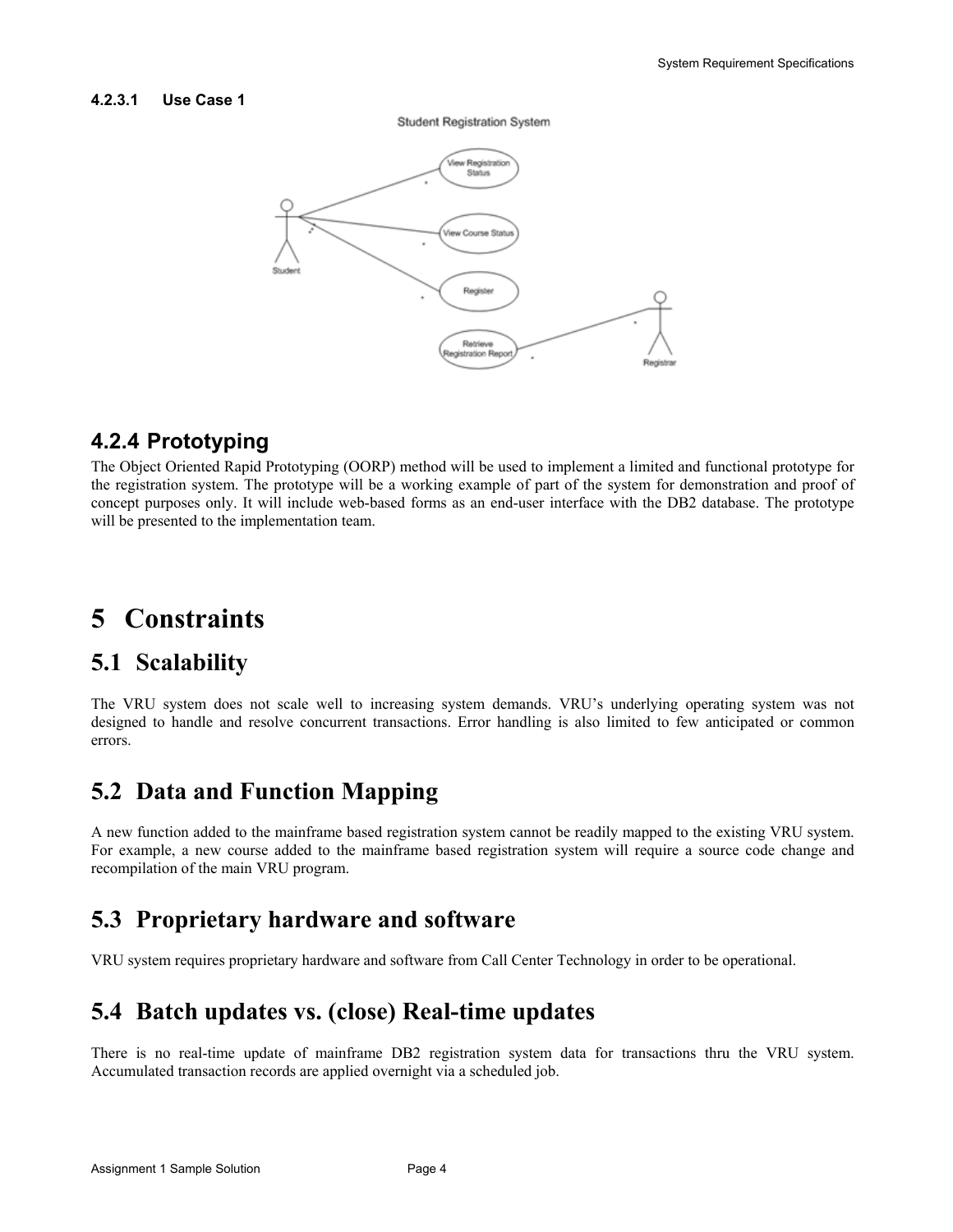#### **4.2.3.1 Use Case 1**





#### **4.2.4 Prototyping**

The Object Oriented Rapid Prototyping (OORP) method will be used to implement a limited and functional prototype for the registration system. The prototype will be a working example of part of the system for demonstration and proof of concept purposes only. It will include web-based forms as an end-user interface with the DB2 database. The prototype will be presented to the implementation team.

# **5 Constraints**

#### **5.1 Scalability**

The VRU system does not scale well to increasing system demands. VRU's underlying operating system was not designed to handle and resolve concurrent transactions. Error handling is also limited to few anticipated or common errors.

### **5.2 Data and Function Mapping**

A new function added to the mainframe based registration system cannot be readily mapped to the existing VRU system. For example, a new course added to the mainframe based registration system will require a source code change and recompilation of the main VRU program.

### **5.3 Proprietary hardware and software**

VRU system requires proprietary hardware and software from Call Center Technology in order to be operational.

### **5.4 Batch updates vs. (close) Real-time updates**

There is no real-time update of mainframe DB2 registration system data for transactions thru the VRU system. Accumulated transaction records are applied overnight via a scheduled job.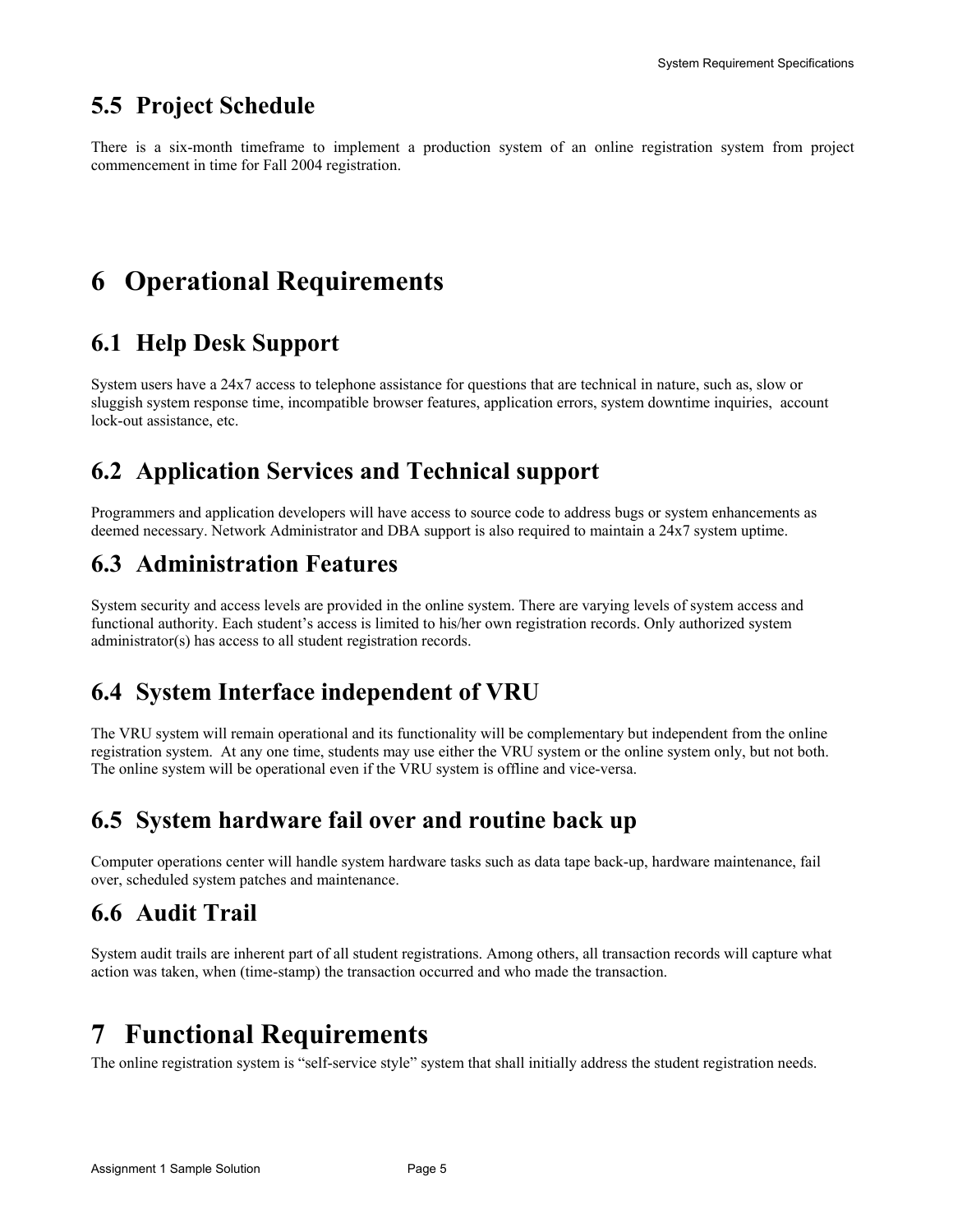### **5.5 Project Schedule**

There is a six-month timeframe to implement a production system of an online registration system from project commencement in time for Fall 2004 registration.

# **6 Operational Requirements**

### **6.1 Help Desk Support**

System users have a 24x7 access to telephone assistance for questions that are technical in nature, such as, slow or sluggish system response time, incompatible browser features, application errors, system downtime inquiries, account lock-out assistance, etc.

### **6.2 Application Services and Technical support**

Programmers and application developers will have access to source code to address bugs or system enhancements as deemed necessary. Network Administrator and DBA support is also required to maintain a 24x7 system uptime.

### **6.3 Administration Features**

System security and access levels are provided in the online system. There are varying levels of system access and functional authority. Each student's access is limited to his/her own registration records. Only authorized system administrator(s) has access to all student registration records.

### **6.4 System Interface independent of VRU**

The VRU system will remain operational and its functionality will be complementary but independent from the online registration system. At any one time, students may use either the VRU system or the online system only, but not both. The online system will be operational even if the VRU system is offline and vice-versa.

### **6.5 System hardware fail over and routine back up**

Computer operations center will handle system hardware tasks such as data tape back-up, hardware maintenance, fail over, scheduled system patches and maintenance.

### **6.6 Audit Trail**

System audit trails are inherent part of all student registrations. Among others, all transaction records will capture what action was taken, when (time-stamp) the transaction occurred and who made the transaction.

# **7 Functional Requirements**

The online registration system is "self-service style" system that shall initially address the student registration needs.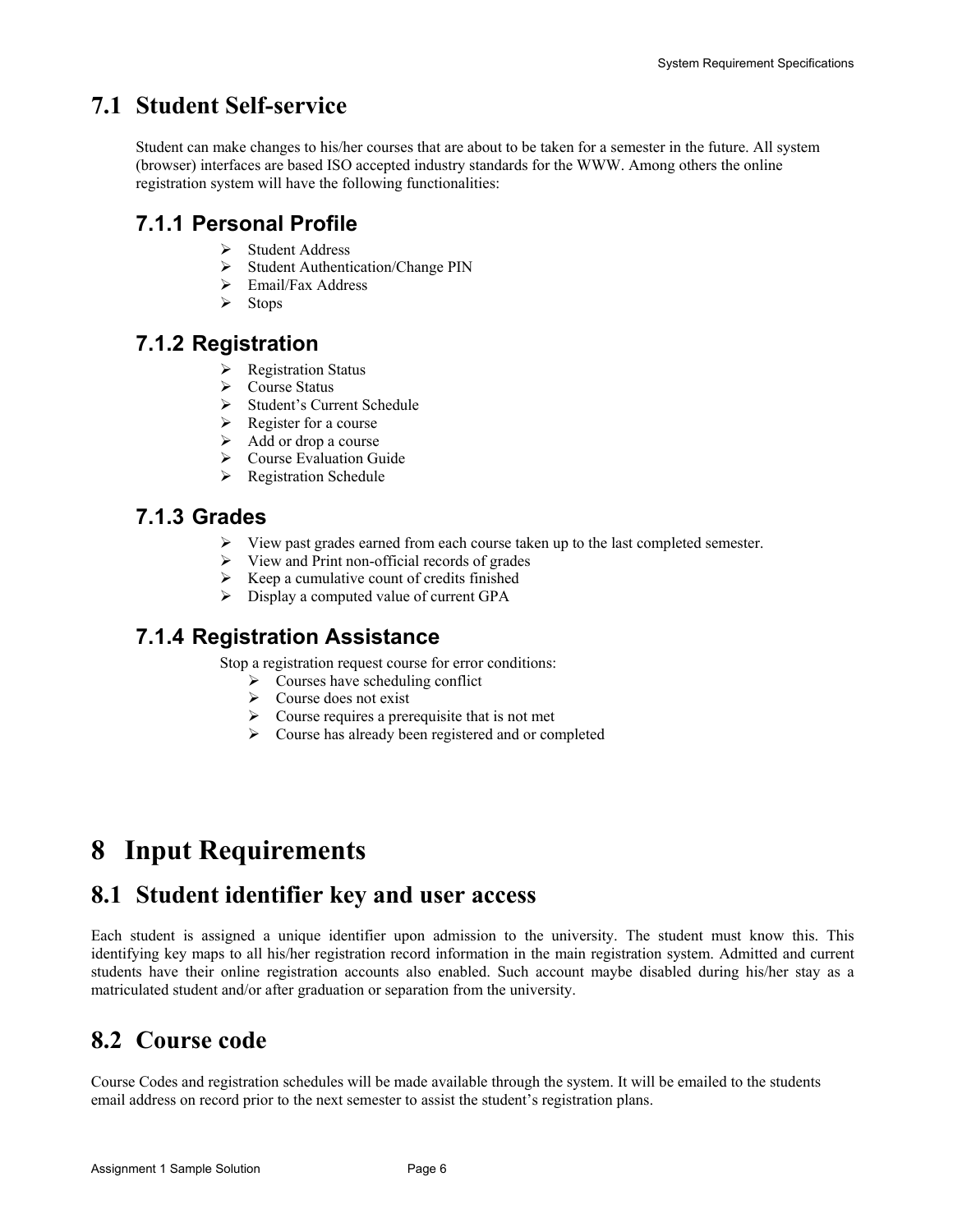### **7.1 Student Self-service**

Student can make changes to his/her courses that are about to be taken for a semester in the future. All system (browser) interfaces are based ISO accepted industry standards for the WWW. Among others the online registration system will have the following functionalities:

#### **7.1.1 Personal Profile**

- ¾ Student Address
- ¾ Student Authentication/Change PIN
- ¾ Email/Fax Address
- ¾ Stops

#### **7.1.2 Registration**

- $\triangleright$  Registration Status
- $\triangleright$  Course Status
- ¾ Student's Current Schedule
- $\triangleright$  Register for a course
- $\triangleright$  Add or drop a course
- $\triangleright$  Course Evaluation Guide
- $\triangleright$  Registration Schedule

#### **7.1.3 Grades**

- $\triangleright$  View past grades earned from each course taken up to the last completed semester.
- $\triangleright$  View and Print non-official records of grades
- $\triangleright$  Keep a cumulative count of credits finished
- $\triangleright$  Display a computed value of current GPA

#### **7.1.4 Registration Assistance**

Stop a registration request course for error conditions:

- $\triangleright$  Courses have scheduling conflict
- $\triangleright$  Course does not exist
- $\triangleright$  Course requires a prerequisite that is not met
- $\triangleright$  Course has already been registered and or completed

# **8 Input Requirements**

### **8.1 Student identifier key and user access**

Each student is assigned a unique identifier upon admission to the university. The student must know this. This identifying key maps to all his/her registration record information in the main registration system. Admitted and current students have their online registration accounts also enabled. Such account maybe disabled during his/her stay as a matriculated student and/or after graduation or separation from the university.

# **8.2 Course code**

Course Codes and registration schedules will be made available through the system. It will be emailed to the students email address on record prior to the next semester to assist the student's registration plans.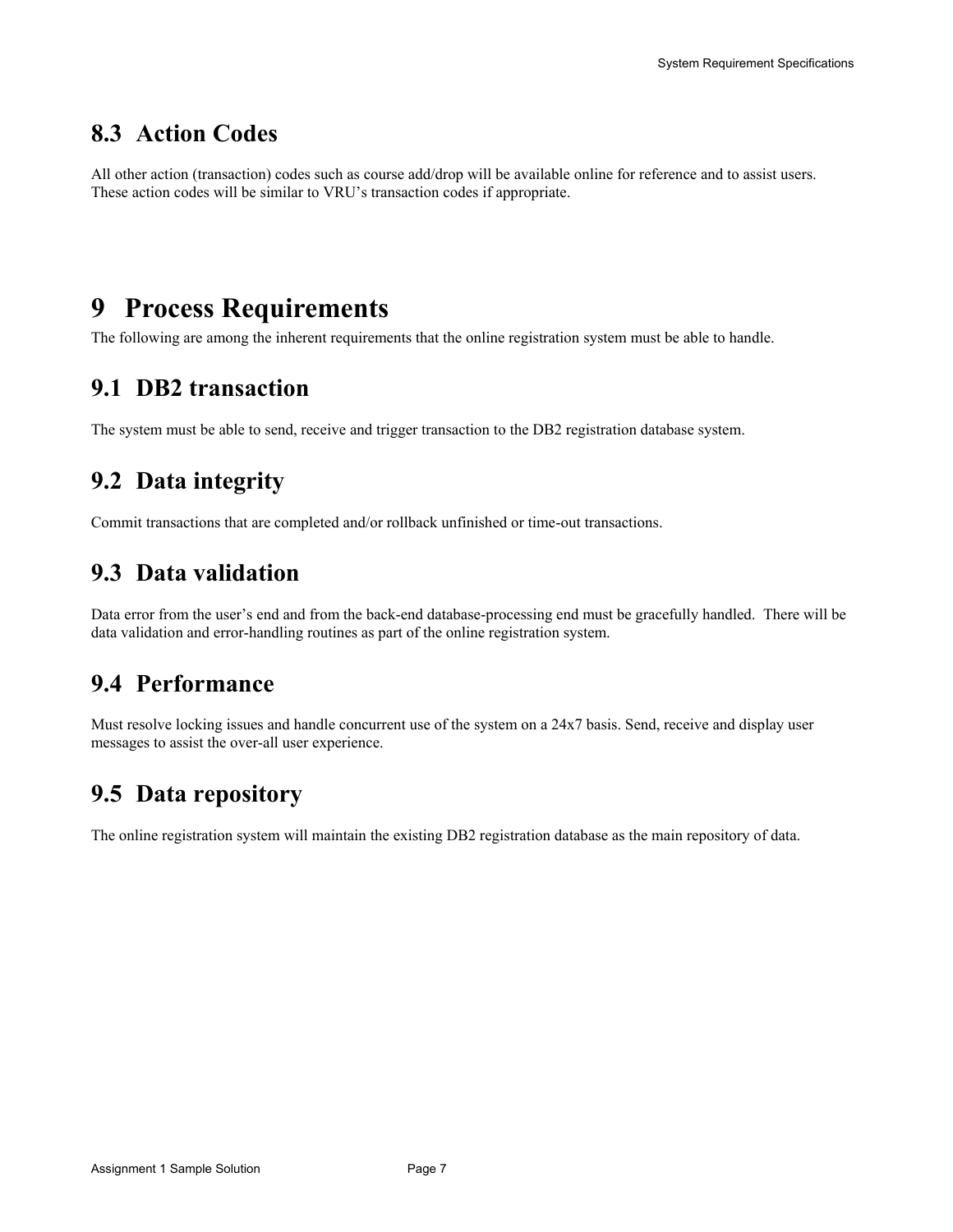### **8.3 Action Codes**

All other action (transaction) codes such as course add/drop will be available online for reference and to assist users. These action codes will be similar to VRU's transaction codes if appropriate.

## **9 Process Requirements**

The following are among the inherent requirements that the online registration system must be able to handle.

### **9.1 DB2 transaction**

The system must be able to send, receive and trigger transaction to the DB2 registration database system.

### **9.2 Data integrity**

Commit transactions that are completed and/or rollback unfinished or time-out transactions.

### **9.3 Data validation**

Data error from the user's end and from the back-end database-processing end must be gracefully handled. There will be data validation and error-handling routines as part of the online registration system.

#### **9.4 Performance**

Must resolve locking issues and handle concurrent use of the system on a 24x7 basis. Send, receive and display user messages to assist the over-all user experience.

### **9.5 Data repository**

The online registration system will maintain the existing DB2 registration database as the main repository of data.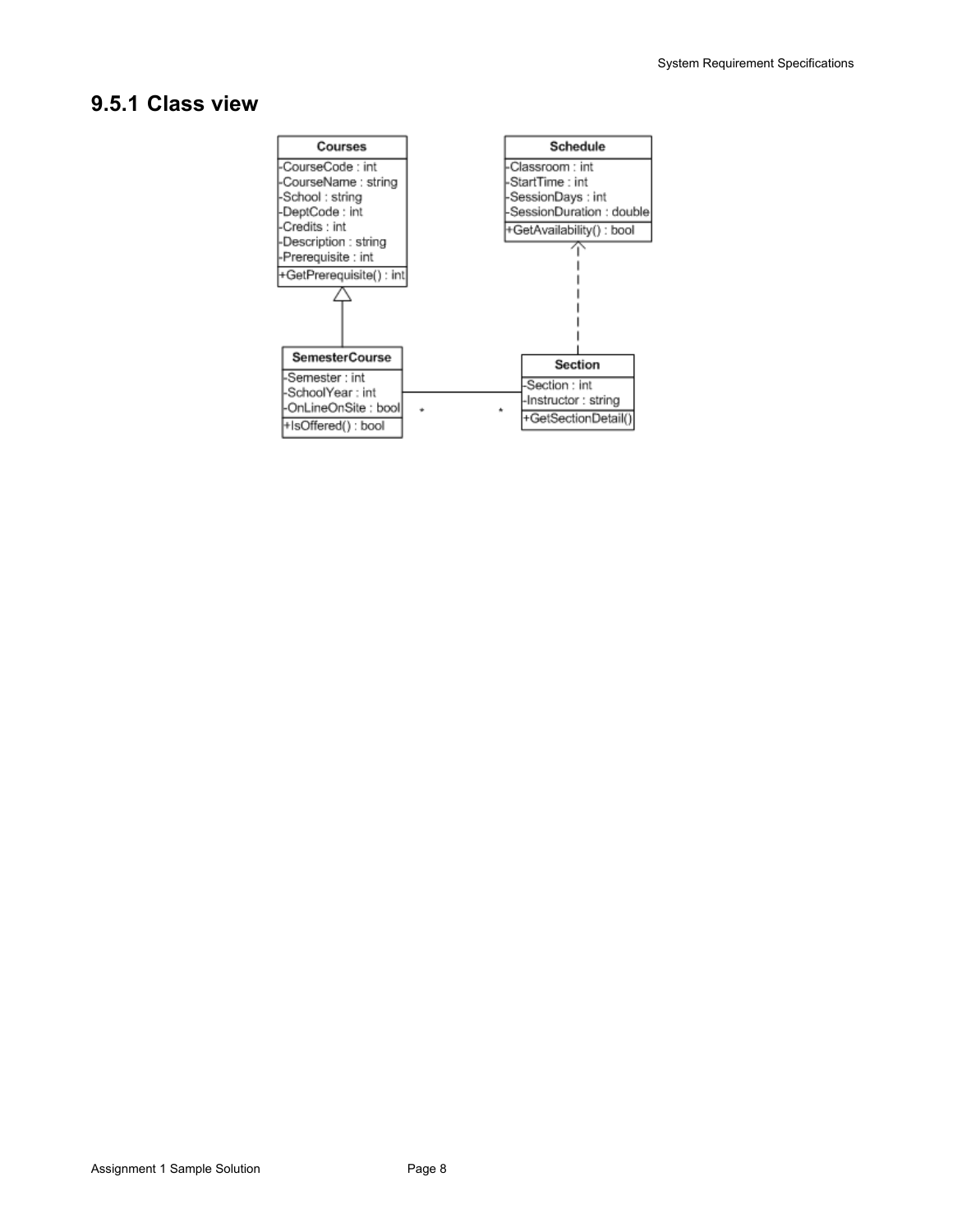#### **9.5.1 Class view**

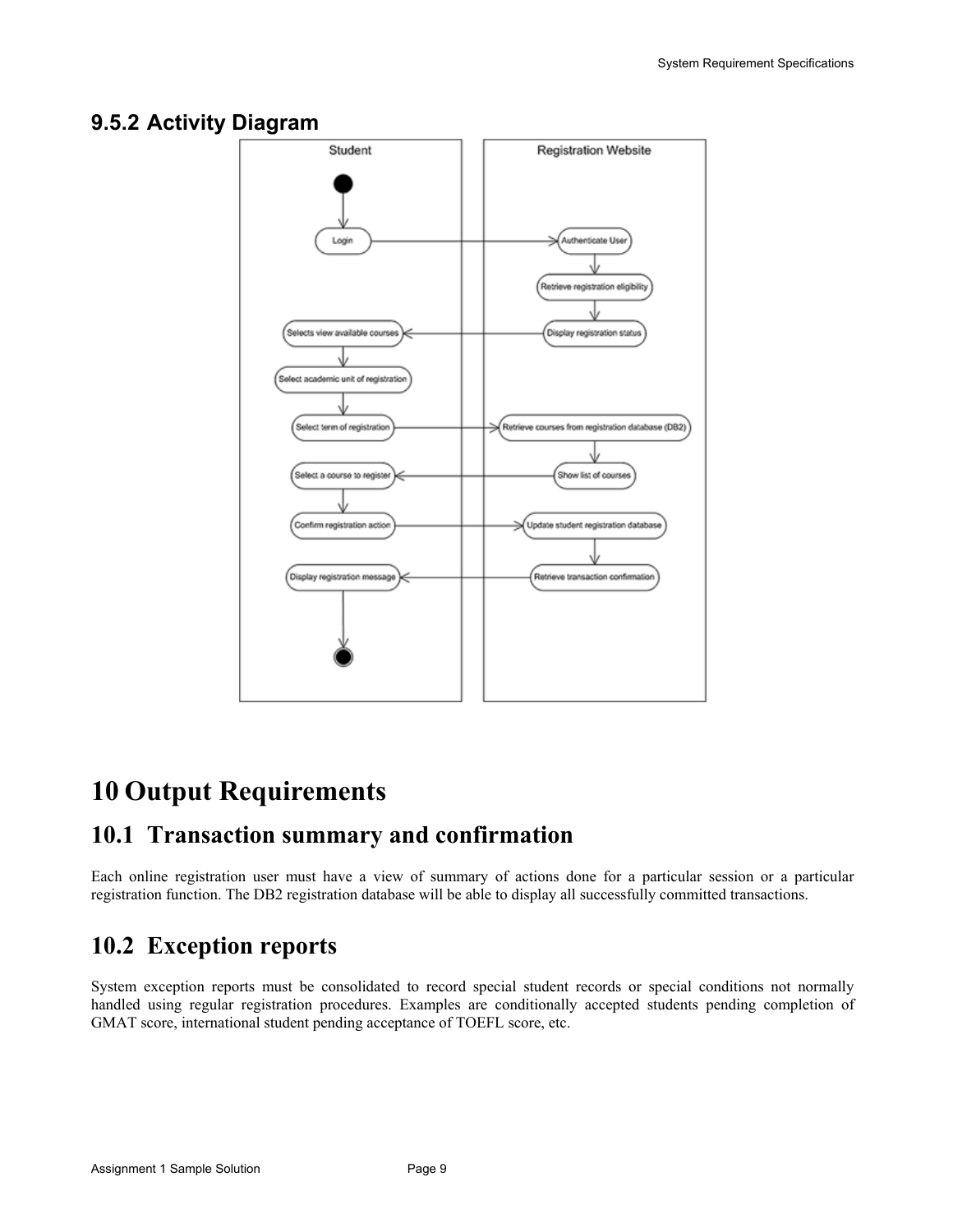#### **9.5.2 Activity Diagram**



# **10 Output Requirements**

### **10.1 Transaction summary and confirmation**

Each online registration user must have a view of summary of actions done for a particular session or a particular registration function. The DB2 registration database will be able to display all successfully committed transactions.

### **10.2 Exception reports**

System exception reports must be consolidated to record special student records or special conditions not normally handled using regular registration procedures. Examples are conditionally accepted students pending completion of GMAT score, international student pending acceptance of TOEFL score, etc.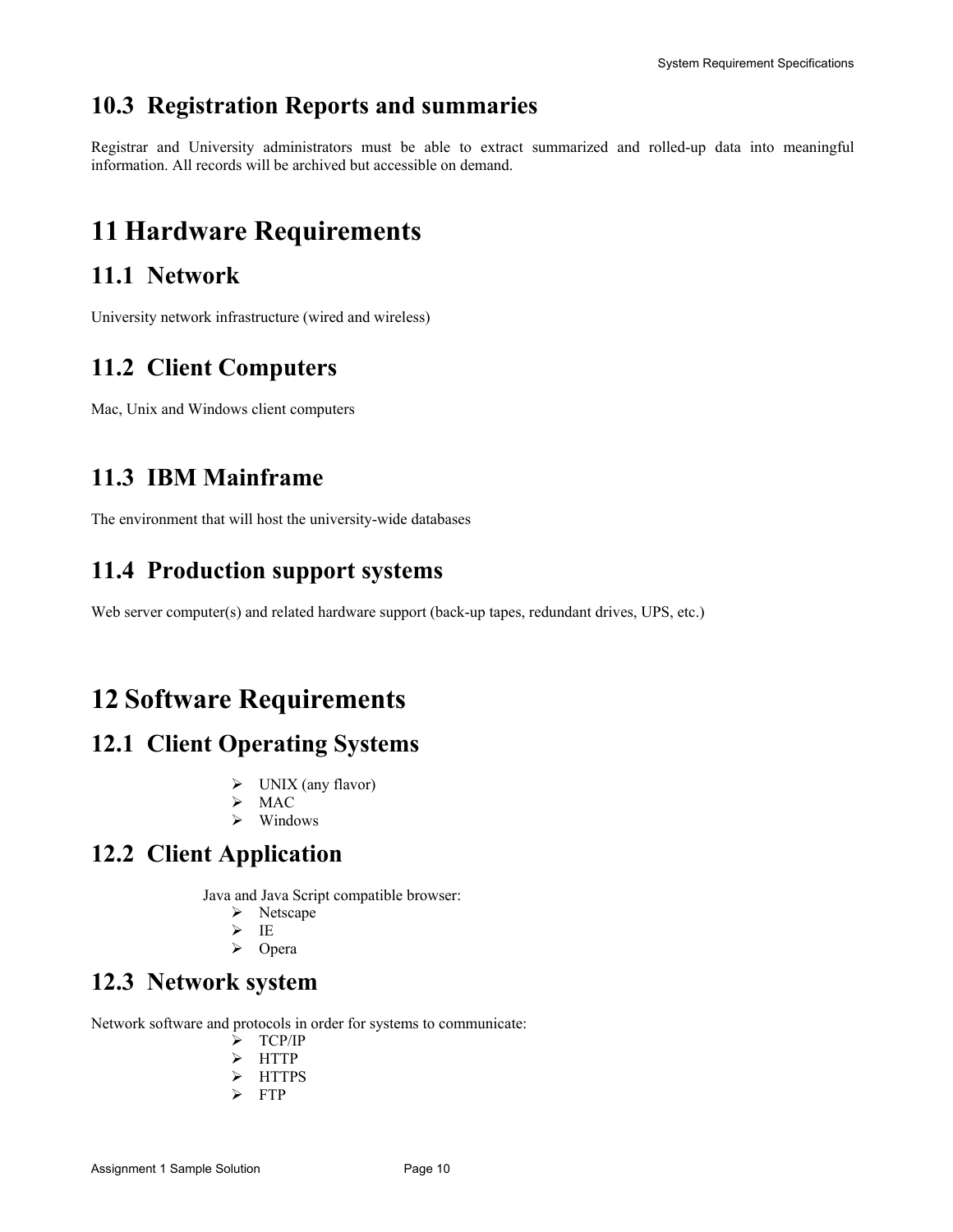### **10.3 Registration Reports and summaries**

Registrar and University administrators must be able to extract summarized and rolled-up data into meaningful information. All records will be archived but accessible on demand.

# **11 Hardware Requirements**

### **11.1 Network**

University network infrastructure (wired and wireless)

### **11.2 Client Computers**

Mac, Unix and Windows client computers

### **11.3 IBM Mainframe**

The environment that will host the university-wide databases

### **11.4 Production support systems**

Web server computer(s) and related hardware support (back-up tapes, redundant drives, UPS, etc.)

## **12 Software Requirements**

### **12.1 Client Operating Systems**

- $\triangleright$  UNIX (any flavor)
- $>$ MAC
- $\triangleright$  Windows

### **12.2 Client Application**

Java and Java Script compatible browser:

- $\triangleright$  Netscape
- $\triangleright$  IE
- ¾ Opera

### **12.3 Network system**

Network software and protocols in order for systems to communicate:

- ¾ TCP/IP
- ¾ HTTP
- ¾ HTTPS
- $\triangleright$  FTP